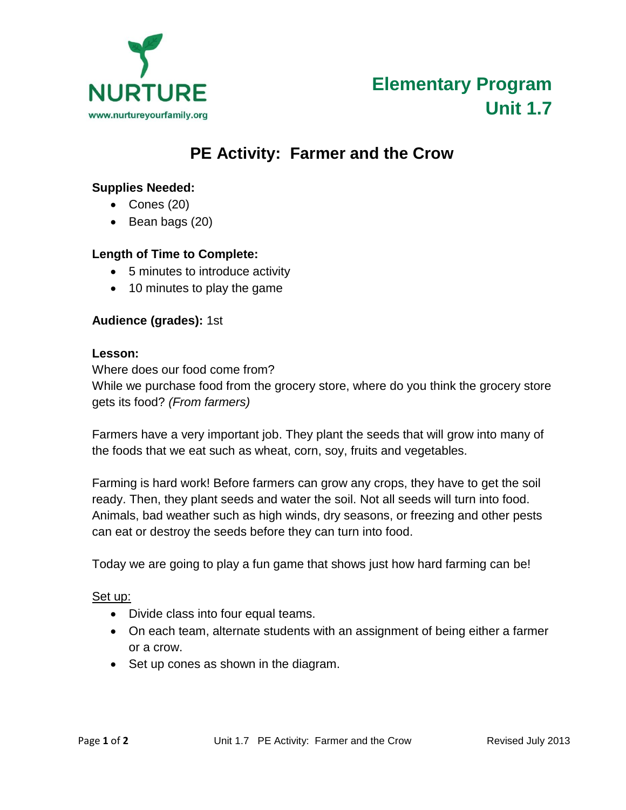

# **PE Activity: Farmer and the Crow**

## **Supplies Needed:**

- Cones (20)
- $\bullet$  Bean bags (20)

## **Length of Time to Complete:**

- 5 minutes to introduce activity
- 10 minutes to play the game

## **Audience (grades):** 1st

#### **Lesson:**

Where does our food come from?

While we purchase food from the grocery store, where do you think the grocery store gets its food? *(From farmers)*

Farmers have a very important job. They plant the seeds that will grow into many of the foods that we eat such as wheat, corn, soy, fruits and vegetables.

Farming is hard work! Before farmers can grow any crops, they have to get the soil ready. Then, they plant seeds and water the soil. Not all seeds will turn into food. Animals, bad weather such as high winds, dry seasons, or freezing and other pests can eat or destroy the seeds before they can turn into food.

Today we are going to play a fun game that shows just how hard farming can be!

#### Set up:

- Divide class into four equal teams.
- On each team, alternate students with an assignment of being either a farmer or a crow.
- Set up cones as shown in the diagram.